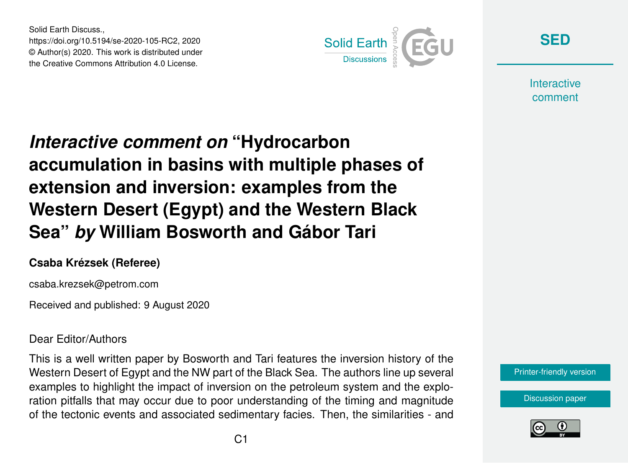Solid Earth Discuss., https://doi.org/10.5194/se-2020-105-RC2, 2020 © Author(s) 2020. This work is distributed under the Creative Commons Attribution 4.0 License.



**[SED](https://se.copernicus.org/preprints/)**

**Interactive** comment

## *Interactive comment on* **"Hydrocarbon accumulation in basins with multiple phases of extension and inversion: examples from the Western Desert (Egypt) and the Western Black Sea"** *by* **William Bosworth and Gábor Tari**

## **Csaba Krézsek (Referee)**

csaba.krezsek@petrom.com

Received and published: 9 August 2020

## Dear Editor/Authors

This is a well written paper by Bosworth and Tari features the inversion history of the Western Desert of Egypt and the NW part of the Black Sea. The authors line up several examples to highlight the impact of inversion on the petroleum system and the exploration pitfalls that may occur due to poor understanding of the timing and magnitude of the tectonic events and associated sedimentary facies. Then, the similarities - and

[Printer-friendly version](https://se.copernicus.org/preprints/se-2020-105/se-2020-105-RC2-print.pdf)

[Discussion paper](https://se.copernicus.org/preprints/se-2020-105)